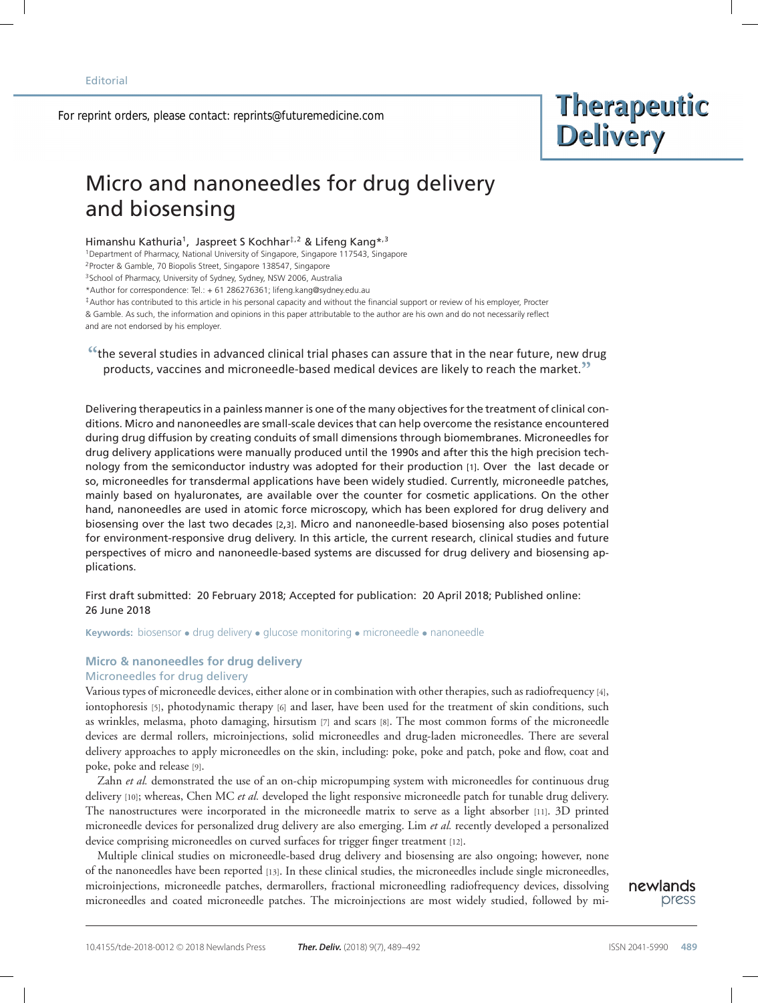*For reprint orders, please contact: reprints@futuremedicine.com*

# Micro and nanoneedles for drug delivery and biosensing

Himanshu Kathuria<sup>1</sup>, Jaspreet S Kochhar<sup>‡,2</sup> & Lifeng Kang\*,<sup>3</sup>

<sup>1</sup> Department of Pharmacy, National University of Singapore, Singapore 117543, Singapore

2Procter & Gamble, 70 Biopolis Street, Singapore 138547, Singapore

<sup>3</sup> School of Pharmacy, University of Sydney, Sydney, NSW 2006, Australia

\*Author for correspondence: Tel.: + 61 286276361; lifeng.kang@sydney.edu.au

‡Author has contributed to this article in his personal capacity and without the financial support or review of his employer, Procter & Gamble. As such, the information and opinions in this paper attributable to the author are his own and do not necessarily reflect and are not endorsed by his employer.

**"**the several studies in advanced clinical trial phases can assure that in the near future, new drug products, vaccines and microneedle-based medical devices are likely to reach the market.**"**

Delivering therapeutics in a painless manner is one of the many objectives for the treatment of clinical conditions. Micro and nanoneedles are small-scale devices that can help overcome the resistance encountered during drug diffusion by creating conduits of small dimensions through biomembranes. Microneedles for drug delivery applications were manually produced until the 1990s and after this the high precision technology from the semiconductor industry was adopted for their production [1]. Over the last decade or so, microneedles for transdermal applications have been widely studied. Currently, microneedle patches, mainly based on hyaluronates, are available over the counter for cosmetic applications. On the other hand, nanoneedles are used in atomic force microscopy, which has been explored for drug delivery and biosensing over the last two decades [2,3]. Micro and nanoneedle-based biosensing also poses potential for environment-responsive drug delivery. In this article, the current research, clinical studies and future perspectives of micro and nanoneedle-based systems are discussed for drug delivery and biosensing applications.

First draft submitted: 20 February 2018; Accepted for publication: 20 April 2018; Published online: 26 June 2018

**Keywords:** biosensor • drug delivery • glucose monitoring • microneedle • nanoneedle

# **Micro & nanoneedles for drug delivery**

# Microneedles for drug delivery

Various types of microneedle devices, either alone or in combination with other therapies, such as radiofrequency [4], iontophoresis [5], photodynamic therapy [6] and laser, have been used for the treatment of skin conditions, such as wrinkles, melasma, photo damaging, hirsutism [7] and scars [8]. The most common forms of the microneedle devices are dermal rollers, microinjections, solid microneedles and drug-laden microneedles. There are several delivery approaches to apply microneedles on the skin, including: poke, poke and patch, poke and flow, coat and poke, poke and release [9].

Zahn *et al.* demonstrated the use of an on-chip micropumping system with microneedles for continuous drug delivery [10]; whereas, Chen MC *et al.* developed the light responsive microneedle patch for tunable drug delivery. The nanostructures were incorporated in the microneedle matrix to serve as a light absorber [11]. 3D printed microneedle devices for personalized drug delivery are also emerging. Lim *et al.* recently developed a personalized device comprising microneedles on curved surfaces for trigger finger treatment [12].

Multiple clinical studies on microneedle-based drug delivery and biosensing are also ongoing; however, none of the nanoneedles have been reported [13]. In these clinical studies, the microneedles include single microneedles, microinjections, microneedle patches, dermarollers, fractional microneedling radiofrequency devices, dissolving microneedles and coated microneedle patches. The microinjections are most widely studied, followed by mi-

newlands press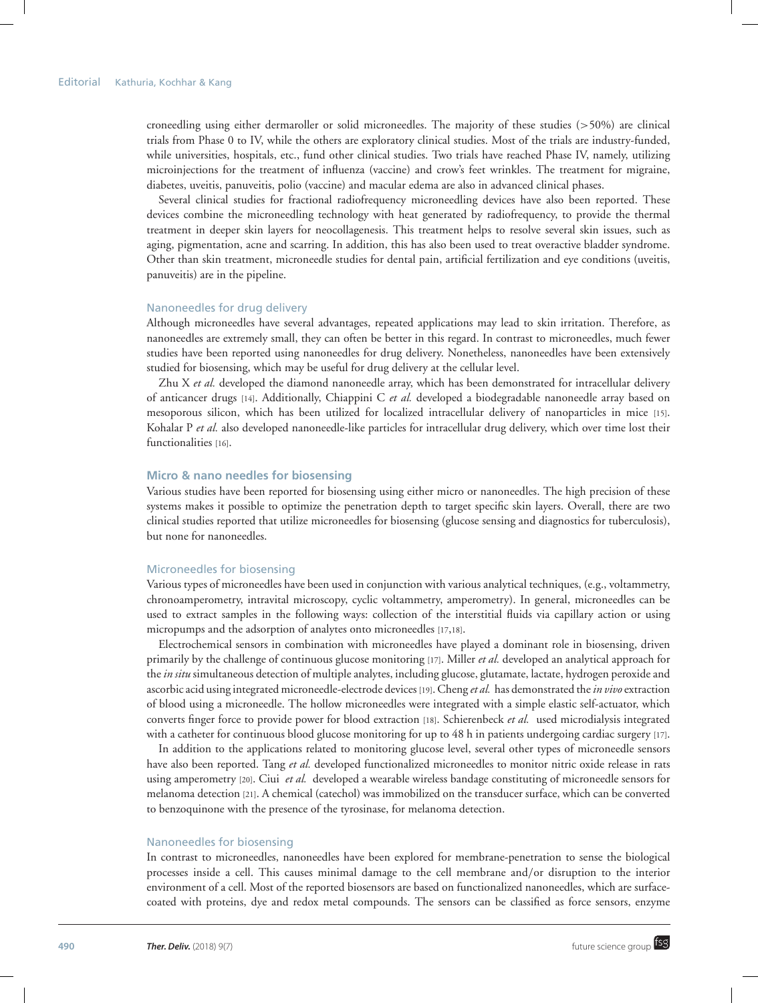croneedling using either dermaroller or solid microneedles. The majority of these studies (>50%) are clinical trials from Phase 0 to IV, while the others are exploratory clinical studies. Most of the trials are industry-funded, while universities, hospitals, etc., fund other clinical studies. Two trials have reached Phase IV, namely, utilizing microinjections for the treatment of influenza (vaccine) and crow's feet wrinkles. The treatment for migraine, diabetes, uveitis, panuveitis, polio (vaccine) and macular edema are also in advanced clinical phases.

Several clinical studies for fractional radiofrequency microneedling devices have also been reported. These devices combine the microneedling technology with heat generated by radiofrequency, to provide the thermal treatment in deeper skin layers for neocollagenesis. This treatment helps to resolve several skin issues, such as aging, pigmentation, acne and scarring. In addition, this has also been used to treat overactive bladder syndrome. Other than skin treatment, microneedle studies for dental pain, artificial fertilization and eye conditions (uveitis, panuveitis) are in the pipeline.

#### Nanoneedles for drug delivery

Although microneedles have several advantages, repeated applications may lead to skin irritation. Therefore, as nanoneedles are extremely small, they can often be better in this regard. In contrast to microneedles, much fewer studies have been reported using nanoneedles for drug delivery. Nonetheless, nanoneedles have been extensively studied for biosensing, which may be useful for drug delivery at the cellular level.

Zhu X *et al.* developed the diamond nanoneedle array, which has been demonstrated for intracellular delivery of anticancer drugs [14]. Additionally, Chiappini C *et al.* developed a biodegradable nanoneedle array based on mesoporous silicon, which has been utilized for localized intracellular delivery of nanoparticles in mice [15]. Kohalar P *et al.* also developed nanoneedle-like particles for intracellular drug delivery, which over time lost their functionalities [16].

## **Micro & nano needles for biosensing**

Various studies have been reported for biosensing using either micro or nanoneedles. The high precision of these systems makes it possible to optimize the penetration depth to target specific skin layers. Overall, there are two clinical studies reported that utilize microneedles for biosensing (glucose sensing and diagnostics for tuberculosis), but none for nanoneedles.

## Microneedles for biosensing

Various types of microneedles have been used in conjunction with various analytical techniques, (e.g., voltammetry, chronoamperometry, intravital microscopy, cyclic voltammetry, amperometry). In general, microneedles can be used to extract samples in the following ways: collection of the interstitial fluids via capillary action or using micropumps and the adsorption of analytes onto microneedles [17,18].

Electrochemical sensors in combination with microneedles have played a dominant role in biosensing, driven primarily by the challenge of continuous glucose monitoring [17]. Miller *et al.* developed an analytical approach for the*in situ* simultaneous detection of multiple analytes, including glucose, glutamate, lactate, hydrogen peroxide and ascorbic acid using integrated microneedle-electrode devices [19]. Cheng *et al.* has demonstrated the *in vivo* extraction of blood using a microneedle. The hollow microneedles were integrated with a simple elastic self-actuator, which converts finger force to provide power for blood extraction [18]. Schierenbeck *et al.* used microdialysis integrated with a catheter for continuous blood glucose monitoring for up to 48 h in patients undergoing cardiac surgery [17].

In addition to the applications related to monitoring glucose level, several other types of microneedle sensors have also been reported. Tang *et al.* developed functionalized microneedles to monitor nitric oxide release in rats using amperometry [20]. Ciui *et al.* developed a wearable wireless bandage constituting of microneedle sensors for melanoma detection [21]. A chemical (catechol) was immobilized on the transducer surface, which can be converted to benzoquinone with the presence of the tyrosinase, for melanoma detection.

#### Nanoneedles for biosensing

In contrast to microneedles, nanoneedles have been explored for membrane-penetration to sense the biological processes inside a cell. This causes minimal damage to the cell membrane and/or disruption to the interior environment of a cell. Most of the reported biosensors are based on functionalized nanoneedles, which are surfacecoated with proteins, dye and redox metal compounds. The sensors can be classified as force sensors, enzyme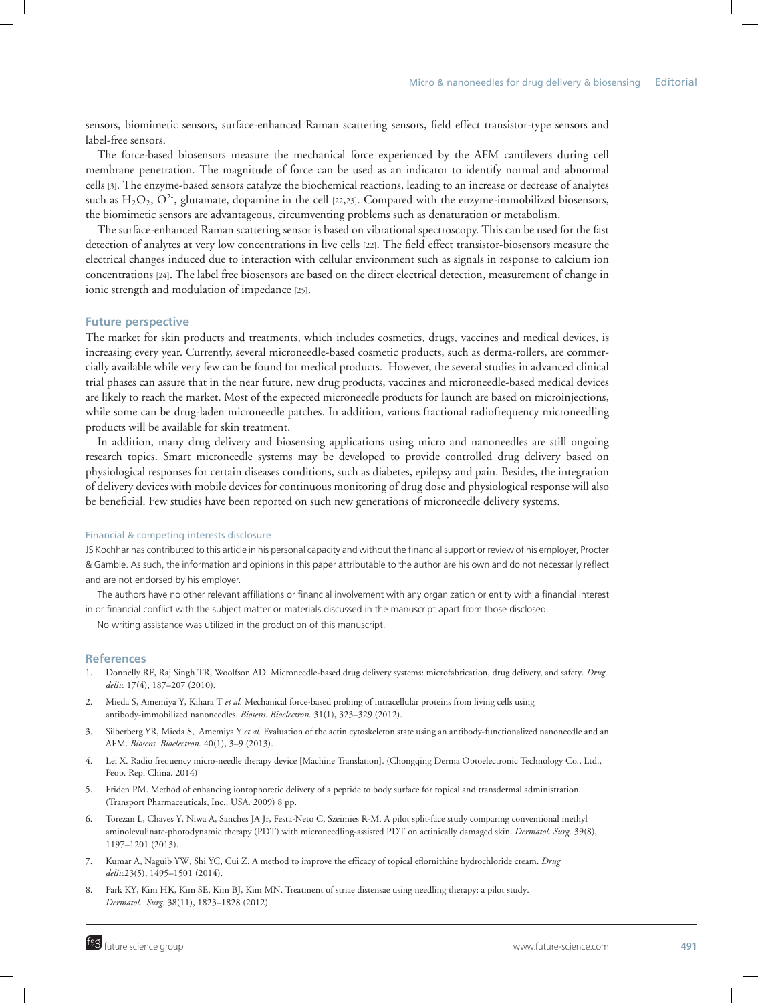sensors, biomimetic sensors, surface-enhanced Raman scattering sensors, field effect transistor-type sensors and label-free sensors.

The force-based biosensors measure the mechanical force experienced by the AFM cantilevers during cell membrane penetration. The magnitude of force can be used as an indicator to identify normal and abnormal cells [3]. The enzyme-based sensors catalyze the biochemical reactions, leading to an increase or decrease of analytes such as  $H_2O_2$ ,  $O^2$ , glutamate, dopamine in the cell [22,23]. Compared with the enzyme-immobilized biosensors, the biomimetic sensors are advantageous, circumventing problems such as denaturation or metabolism.

The surface-enhanced Raman scattering sensor is based on vibrational spectroscopy. This can be used for the fast detection of analytes at very low concentrations in live cells [22]. The field effect transistor-biosensors measure the electrical changes induced due to interaction with cellular environment such as signals in response to calcium ion concentrations [24]. The label free biosensors are based on the direct electrical detection, measurement of change in ionic strength and modulation of impedance [25].

#### **Future perspective**

The market for skin products and treatments, which includes cosmetics, drugs, vaccines and medical devices, is increasing every year. Currently, several microneedle-based cosmetic products, such as derma-rollers, are commercially available while very few can be found for medical products. However, the several studies in advanced clinical trial phases can assure that in the near future, new drug products, vaccines and microneedle-based medical devices are likely to reach the market. Most of the expected microneedle products for launch are based on microinjections, while some can be drug-laden microneedle patches. In addition, various fractional radiofrequency microneedling products will be available for skin treatment.

In addition, many drug delivery and biosensing applications using micro and nanoneedles are still ongoing research topics. Smart microneedle systems may be developed to provide controlled drug delivery based on physiological responses for certain diseases conditions, such as diabetes, epilepsy and pain. Besides, the integration of delivery devices with mobile devices for continuous monitoring of drug dose and physiological response will also be beneficial. Few studies have been reported on such new generations of microneedle delivery systems.

#### Financial & competing interests disclosure

JS Kochhar has contributed to this article in his personal capacity and without the financial support or review of his employer, Procter & Gamble. As such, the information and opinions in this paper attributable to the author are his own and do not necessarily reflect and are not endorsed by his employer.

The authors have no other relevant affiliations or financial involvement with any organization or entity with a financial interest in or financial conflict with the subject matter or materials discussed in the manuscript apart from those disclosed.

No writing assistance was utilized in the production of this manuscript.

### **References**

- 1. Donnelly RF, Raj Singh TR, Woolfson AD. Microneedle-based drug delivery systems: microfabrication, drug delivery, and safety. *Drug deliv.* 17(4), 187–207 (2010).
- 2. Mieda S, Amemiya Y, Kihara T *et al.* Mechanical force-based probing of intracellular proteins from living cells using antibody-immobilized nanoneedles. *Biosens. Bioelectron.* 31(1), 323–329 (2012).
- 3. Silberberg YR, Mieda S, Amemiya Y *et al.* Evaluation of the actin cytoskeleton state using an antibody-functionalized nanoneedle and an AFM. *Biosens. Bioelectron.* 40(1), 3–9 (2013).
- 4. Lei X. Radio frequency micro-needle therapy device [Machine Translation]. (Chongqing Derma Optoelectronic Technology Co., Ltd., Peop. Rep. China. 2014)
- 5. Friden PM. Method of enhancing iontophoretic delivery of a peptide to body surface for topical and transdermal administration. (Transport Pharmaceuticals, Inc., USA. 2009) 8 pp.
- 6. Torezan L, Chaves Y, Niwa A, Sanches JA Jr, Festa-Neto C, Szeimies R-M. A pilot split-face study comparing conventional methyl aminolevulinate-photodynamic therapy (PDT) with microneedling-assisted PDT on actinically damaged skin. *Dermatol. Surg.* 39(8), 1197–1201 (2013).
- 7. Kumar A, Naguib YW, Shi YC, Cui Z. A method to improve the efficacy of topical eflornithine hydrochloride cream. *Drug deliv.*23(5), 1495–1501 (2014).
- 8. Park KY, Kim HK, Kim SE, Kim BJ, Kim MN. Treatment of striae distensae using needling therapy: a pilot study. *Dermatol. Surg.* 38(11), 1823–1828 (2012).